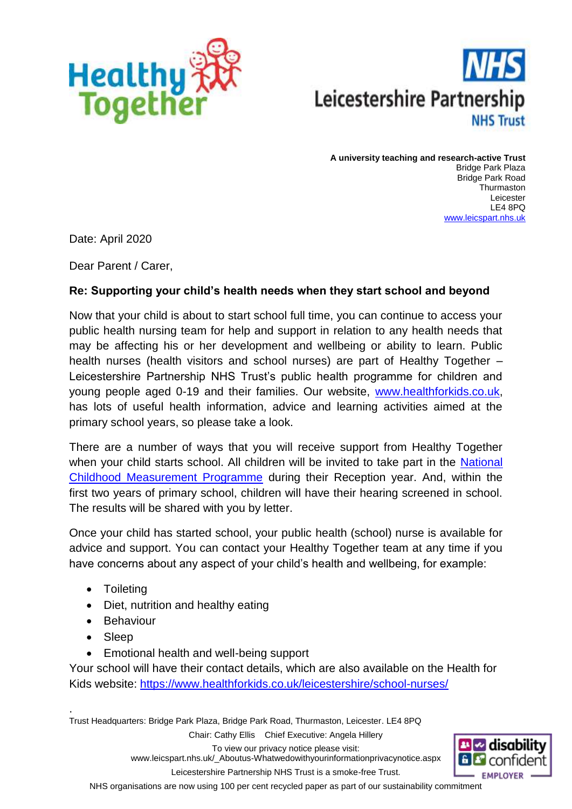



**A university teaching and research-active Trust** Bridge Park Plaza Bridge Park Road Thurmaston Leicester LE4 8PQ [www.leicspart.nhs.uk](http://www.leicspart.nhs.uk/)

Date: April 2020

Dear Parent / Carer,

## **Re: Supporting your child's health needs when they start school and beyond**

Now that your child is about to start school full time, you can continue to access your public health nursing team for help and support in relation to any health needs that may be affecting his or her development and wellbeing or ability to learn. Public health nurses (health visitors and school nurses) are part of Healthy Together – Leicestershire Partnership NHS Trust's public health programme for children and young people aged 0-19 and their families. Our website, [www.healthforkids.co.uk,](http://www.healthforkids.co.uk/) has lots of useful health information, advice and learning activities aimed at the primary school years, so please take a look.

There are a number of ways that you will receive support from Healthy Together when your child starts school. All children will be invited to take part in the National [Childhood Measurement Programme](https://www.healthforkids.co.uk/leicestershire/the-national-child-measurement-programme/) during their Reception year. And, within the first two years of primary school, children will have their hearing screened in school. The results will be shared with you by letter.

Once your child has started school, your public health (school) nurse is available for advice and support. You can contact your Healthy Together team at any time if you have concerns about any aspect of your child's health and wellbeing, for example:

- Toileting
- Diet, nutrition and healthy eating
- Behaviour
- Sleep
- Emotional health and well-being support

Your school will have their contact details, which are also available on the Health for Kids website: <https://www.healthforkids.co.uk/leicestershire/school-nurses/>

Trust Headquarters: Bridge Park Plaza, Bridge Park Road, Thurmaston, Leicester. LE4 8PQ Chair: Cathy Ellis Chief Executive: Angela Hillery .



To view our privacy notice please visit:

www.leicspart.nhs.uk/\_Aboutus-Whatwedowithyourinformationprivacynotice.aspx Leicestershire Partnership NHS Trust is a smoke-free Trust.

NHS organisations are now using 100 per cent recycled paper as part of our sustainability commitment